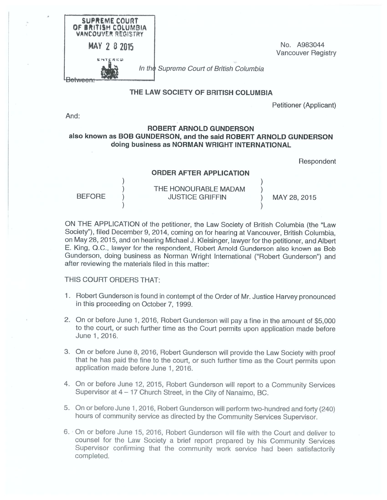| SUPREME COURT<br>OF BRITISH COLUMBIA<br><b>VANCOUVER REGISTRY</b> |                                          |                                          |
|-------------------------------------------------------------------|------------------------------------------|------------------------------------------|
| MAY 2 8 2015                                                      |                                          | No. A983044<br><b>Vancouver Registry</b> |
| 医阿丁尼皮尼司                                                           | In the Supreme Court of British Columbia |                                          |

## **THE LAW SOCIETY OF BRITISH COLUMBIA**

Petitioner (Applicant)

And:

## **ROBERT ARNOLD GUNDERSON also known as BOB GUNDERSON, and the said ROBERT ARNOLD GUNDERSON doing business as NORMAN WRIGHT INTERNATIONAL**

Respondent

## **ORDER AFTER APPLICATION**

THE HONOURABLE MADAM BEFORE ) JUSTICE GRIFFIN ) MAY 28, 2015

ON THE APPLICATION of the petitioner, the Law Society of British Columbia (the "Law Society"), filed December 9, 2014, coming on for hearing at Vancouver, British Columbia, on May 28, 2015, and on hearing Michael J. Kleisinger, lawyer for the petitioner, and Albert E. King, Q.C., lawyer for the respondent, Robert Arnold Gunderson also known as Bob Gunderson, doing business as Norman Wright International ("Robert Gunderson") and after reviewing the materials filed in this matter:

## THIS COURT ORDERS THAT:

- 1. Robert Gunderson is found in contempt of the Order of Mr. Justice Harvey pronounced in this proceeding on October 7, 1999.
- 2. On or before June 1, 2016, Robert Gunderson will pay a fine in the amount of \$5,000 to the court, or such further time as the Court permits upon application made before June 1, 2016.
- 3. On or before June 8, 2016, Robert Gunderson will provide the Law Society with proof that he has paid the fine to the court, or such further time as the Court permits upon application made before June 1, 2016.
- 4. On or before June 12, 2015, Robert Gunderson will report to a Community Services Supervisor at 4 - 17 Church Street, in the City of Nanaimo, BC.
- 5. On or before June 1,2016, Robert Gunderson will perform two-hundred and forty (240) hours of community service as directed by the Community Services Supervisor.
- 6. On or before June 15, 2016, Robert Gunderson will file with the Court and deliver to counsel for the Law Society a brief report prepared by his Community Services Supervisor confirming that the community work service had been satisfactorily completed.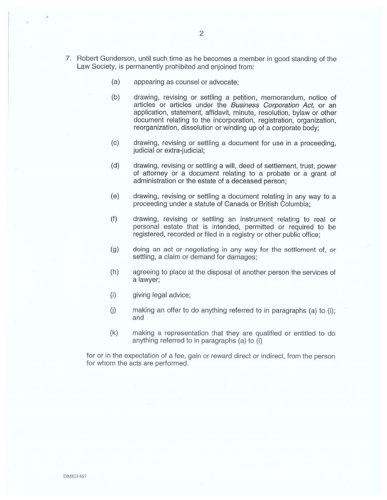- 7. Robert Gunderson, until such time as he becomes a member in good standing of the Law Society, is permanently prohibited and enjoined from:
	- appearing as counsel or advocate; (a)
	- drawing, revising or settling a petition, memorandum, notice of articles or articles under the *Business Corporation Act,* or an application, statement, affidavit, minute, resolution, bylaw or other document relating to the incorporation, registration, organization, reorganization, dissolution or winding up of a corporate body; (b)
	- drawing, revising or settling a document for use in a proceeding, judicial or extra-judicial; (c)
	- drawing, revising or settling a will, deed of settlement, trust, power of attorney or a document relating to a probate or a grant of administration or the estate of a deceased person; (d)
	- drawing, revising or settling a document relating in any way to a proceeding under a statute of Canada or British Columbia; ⑹
	- drawing, revising or settling an instrument relating to real or personal estate that is intended, permitted or required to be registered, recorded or filed in a registry or other public office; (f)
	- doing an act or negotiating in any way for the settlement of, or settling, a claim or demand for damages; (g)
	- agreeing to place at the disposal of another person the services of a lawyer; (h)
	- giving legal advice; **⑴**
	- **⑴** making an offer to do anything referred to in paragraphs (a) to (i); and
	- making a representation that they are qualified or entitled to do anything referred to in paragraphs (a) to (i) (k)

for or in the expectation of a fee, gain or reward direct or indirect, from the person for whom the acts are performed.